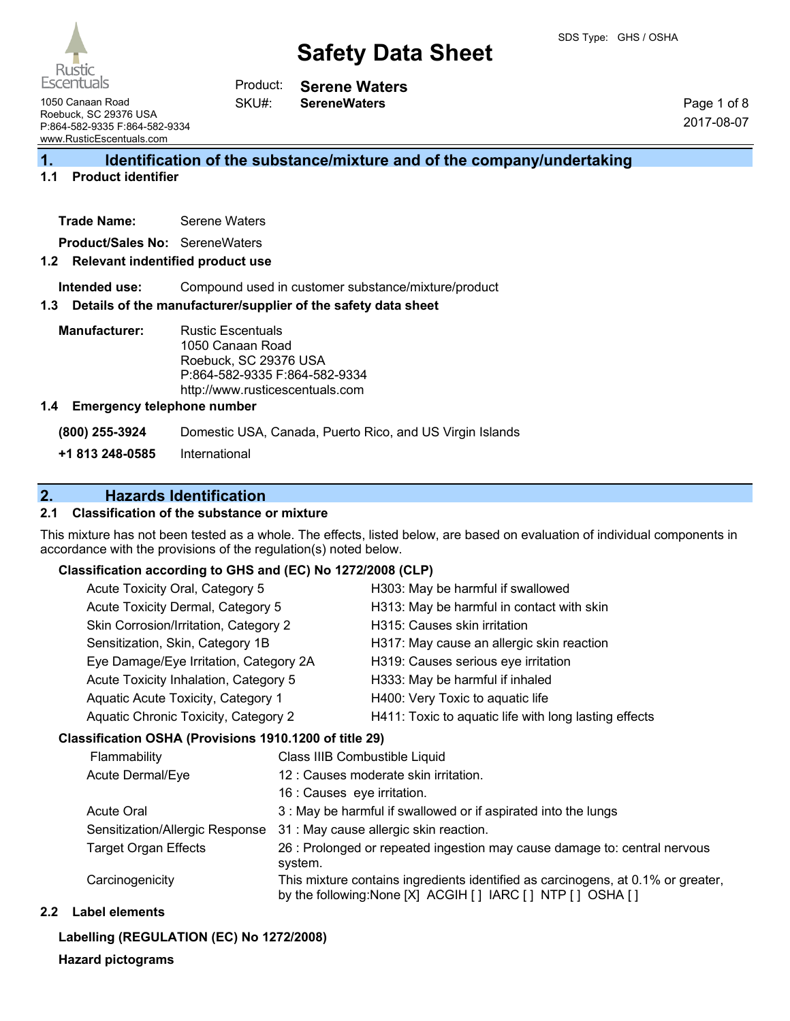Rustio **Escentuals** 

**SereneWaters**

1050 Canaan Road Roebuck, SC 29376 USA P:864-582-9335 F:864-582-9334 www.RusticEscentuals.com

Page 1 of 8 2017-08-07

## **1. Identification of the substance/mixture and of the company/undertaking**

## **1.1 Product identifier**

| <b>Serene Waters</b> |
|----------------------|
|                      |

**Product/Sales No:** SereneWaters

### **1.2 Relevant indentified product use**

**Intended use:** Compound used in customer substance/mixture/product

#### **1.3 Details of the manufacturer/supplier of the safety data sheet**

SKU#:

**Manufacturer:** Rustic Escentuals 1050 Canaan Road Roebuck, SC 29376 USA P:864-582-9335 F:864-582-9334 http://www.rusticescentuals.com

#### **1.4 Emergency telephone number**

**(800) 255-3924** Domestic USA, Canada, Puerto Rico, and US Virgin Islands

**+1 813 248-0585** International

## **2. Hazards Identification**

### **2.1 Classification of the substance or mixture**

This mixture has not been tested as a whole. The effects, listed below, are based on evaluation of individual components in accordance with the provisions of the regulation(s) noted below.

### **Classification according to GHS and (EC) No 1272/2008 (CLP)**

| Acute Toxicity Oral, Category 5        | H303: May be harmful if swallowed                     |
|----------------------------------------|-------------------------------------------------------|
| Acute Toxicity Dermal, Category 5      | H313: May be harmful in contact with skin             |
| Skin Corrosion/Irritation, Category 2  | H315: Causes skin irritation                          |
| Sensitization, Skin, Category 1B       | H317: May cause an allergic skin reaction             |
| Eye Damage/Eye Irritation, Category 2A | H319: Causes serious eye irritation                   |
| Acute Toxicity Inhalation, Category 5  | H333: May be harmful if inhaled                       |
| Aquatic Acute Toxicity, Category 1     | H400: Very Toxic to aquatic life                      |
| Aquatic Chronic Toxicity, Category 2   | H411: Toxic to aquatic life with long lasting effects |
|                                        |                                                       |

### **Classification OSHA (Provisions 1910.1200 of title 29)**

| Flammability                    | Class IIIB Combustible Liquid                                                                                                                  |
|---------------------------------|------------------------------------------------------------------------------------------------------------------------------------------------|
| Acute Dermal/Eye                | 12 : Causes moderate skin irritation.                                                                                                          |
|                                 | 16 : Causes eye irritation.                                                                                                                    |
| <b>Acute Oral</b>               | 3 : May be harmful if swallowed or if aspirated into the lungs                                                                                 |
| Sensitization/Allergic Response | 31 : May cause allergic skin reaction.                                                                                                         |
| <b>Target Organ Effects</b>     | 26 : Prolonged or repeated ingestion may cause damage to: central nervous<br>system.                                                           |
| Carcinogenicity                 | This mixture contains ingredients identified as carcinogens, at 0.1% or greater,<br>by the following: None [X] ACGIH [] IARC [] NTP [] OSHA [] |

#### **2.2 Label elements**

### **Labelling (REGULATION (EC) No 1272/2008)**

### **Hazard pictograms**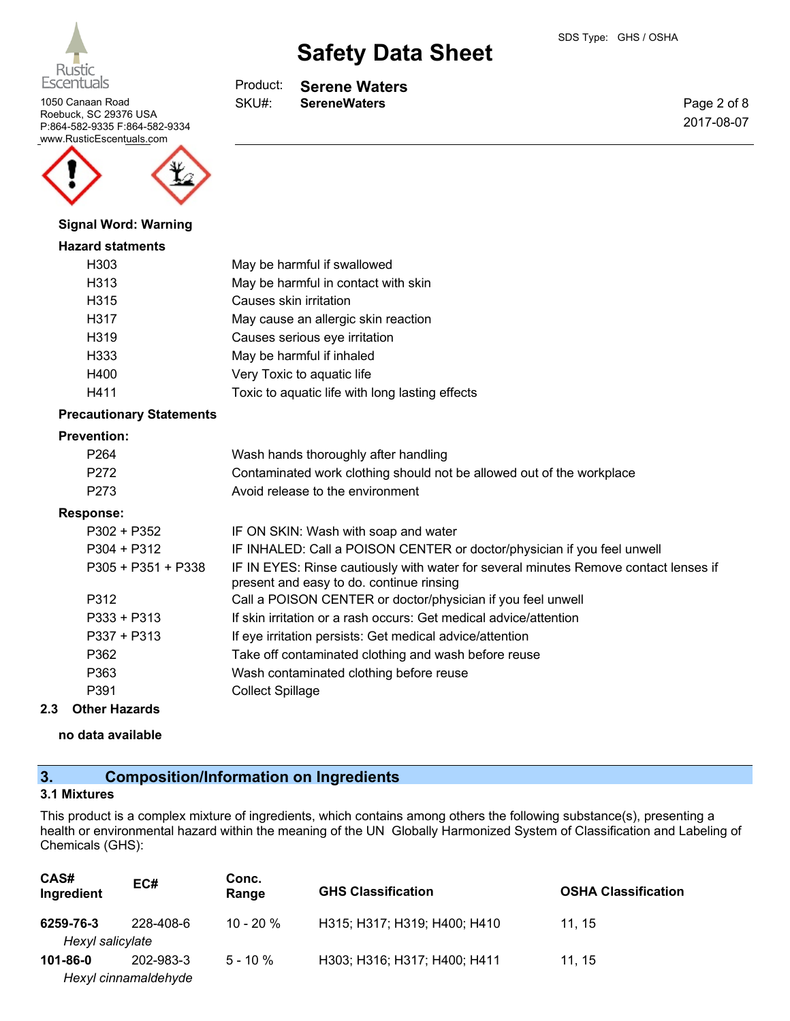

1050 Canaan Road **SKU#:** SereneWaters Roebuck, SC 29376 USA P:864-582-9335 F:864-582-9334 www.RusticEscentuals.com



#### **Signal Word: Warning**

#### **Hazard statments**

| H303 | May be harmful if swallowed                     |
|------|-------------------------------------------------|
| H313 | May be harmful in contact with skin             |
| H315 | Causes skin irritation                          |
| H317 | May cause an allergic skin reaction             |
| H319 | Causes serious eye irritation                   |
| H333 | May be harmful if inhaled                       |
| H400 | Very Toxic to aquatic life                      |
| H411 | Toxic to aquatic life with long lasting effects |

### **Precautionary Statements**

#### **Prevention:**

| P <sub>264</sub>     | Wash hands thoroughly after handling                                                                                             |
|----------------------|----------------------------------------------------------------------------------------------------------------------------------|
| P <sub>272</sub>     | Contaminated work clothing should not be allowed out of the workplace                                                            |
| P273                 | Avoid release to the environment                                                                                                 |
| Response:            |                                                                                                                                  |
| $P302 + P352$        | IF ON SKIN: Wash with soap and water                                                                                             |
| $P304 + P312$        | IF INHALED: Call a POISON CENTER or doctor/physician if you feel unwell                                                          |
| $P305 + P351 + P338$ | IF IN EYES: Rinse cautiously with water for several minutes Remove contact lenses if<br>present and easy to do. continue rinsing |
| P312                 | Call a POISON CENTER or doctor/physician if you feel unwell                                                                      |
| $P333 + P313$        | If skin irritation or a rash occurs: Get medical advice/attention                                                                |
| $P337 + P313$        | If eye irritation persists: Get medical advice/attention                                                                         |
| P362                 | Take off contaminated clothing and wash before reuse                                                                             |
| P363                 | Wash contaminated clothing before reuse                                                                                          |
| P391                 | <b>Collect Spillage</b>                                                                                                          |
|                      |                                                                                                                                  |

## **2.3 Other Hazards**

**no data available**

# **3. Composition/Information on Ingredients**

#### **3.1 Mixtures**

This product is a complex mixture of ingredients, which contains among others the following substance(s), presenting a health or environmental hazard within the meaning of the UN Globally Harmonized System of Classification and Labeling of Chemicals (GHS):

| CAS#<br>Ingredient   | EC#       | Conc.<br>Range | <b>GHS Classification</b>    | <b>OSHA Classification</b> |
|----------------------|-----------|----------------|------------------------------|----------------------------|
| 6259-76-3            | 228-408-6 | $10 - 20 \%$   | H315; H317; H319; H400; H410 | 11.15                      |
| Hexyl salicylate     |           |                |                              |                            |
| 101-86-0             | 202-983-3 | $5 - 10 \%$    | H303; H316; H317; H400; H411 | 11.15                      |
| Hexyl cinnamaldehyde |           |                |                              |                            |

**Serene Waters** Product: SKU#:

Page 2 of 8 2017-08-07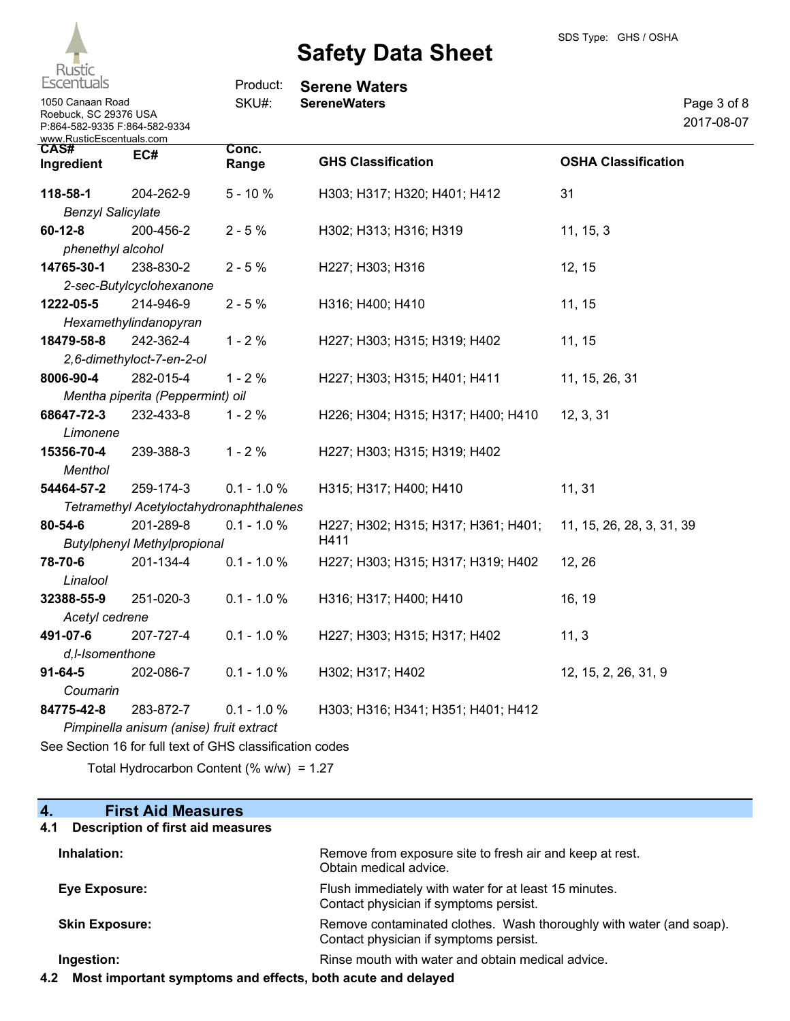

| <b>ESCENTUAIS</b>                                                                                      |                                         | Product:       | <b>Serene Waters</b>                |                            |                           |
|--------------------------------------------------------------------------------------------------------|-----------------------------------------|----------------|-------------------------------------|----------------------------|---------------------------|
| 1050 Canaan Road<br>Roebuck, SC 29376 USA<br>P:864-582-9335 F:864-582-9334<br>www.RusticEscentuals.com |                                         | SKU#:          | <b>SereneWaters</b>                 |                            | Page 3 of 8<br>2017-08-07 |
| CAS#<br>Ingredient                                                                                     | EC#                                     | Conc.<br>Range | <b>GHS Classification</b>           | <b>OSHA Classification</b> |                           |
| 118-58-1                                                                                               | 204-262-9                               | $5 - 10%$      | H303; H317; H320; H401; H412        | 31                         |                           |
| <b>Benzyl Salicylate</b>                                                                               |                                         |                |                                     |                            |                           |
| $60 - 12 - 8$<br>phenethyl alcohol                                                                     | 200-456-2                               | $2 - 5%$       | H302; H313; H316; H319              | 11, 15, 3                  |                           |
| 14765-30-1                                                                                             | 238-830-2                               | $2 - 5%$       | H227; H303; H316                    | 12, 15                     |                           |
|                                                                                                        | 2-sec-Butylcyclohexanone                |                |                                     |                            |                           |
| 1222-05-5                                                                                              | 214-946-9                               | $2 - 5%$       | H316; H400; H410                    | 11, 15                     |                           |
|                                                                                                        | Hexamethylindanopyran                   |                |                                     |                            |                           |
| 18479-58-8                                                                                             | 242-362-4                               | $1 - 2%$       | H227; H303; H315; H319; H402        | 11, 15                     |                           |
|                                                                                                        | 2,6-dimethyloct-7-en-2-ol               |                |                                     |                            |                           |
| 8006-90-4                                                                                              | 282-015-4                               | $1 - 2%$       | H227; H303; H315; H401; H411        | 11, 15, 26, 31             |                           |
|                                                                                                        | Mentha piperita (Peppermint) oil        |                |                                     |                            |                           |
| 68647-72-3                                                                                             | 232-433-8                               | $1 - 2%$       | H226; H304; H315; H317; H400; H410  | 12, 3, 31                  |                           |
| Limonene                                                                                               |                                         |                |                                     |                            |                           |
| 15356-70-4                                                                                             | 239-388-3                               | $1 - 2%$       | H227; H303; H315; H319; H402        |                            |                           |
| Menthol                                                                                                |                                         |                |                                     |                            |                           |
| 54464-57-2                                                                                             | 259-174-3                               | $0.1 - 1.0 %$  | H315; H317; H400; H410              | 11, 31                     |                           |
|                                                                                                        | Tetramethyl Acetyloctahydronaphthalenes |                |                                     |                            |                           |
| 80-54-6                                                                                                | 201-289-8                               | $0.1 - 1.0 %$  | H227; H302; H315; H317; H361; H401; | 11, 15, 26, 28, 3, 31, 39  |                           |
|                                                                                                        | <b>Butylphenyl Methylpropional</b>      |                | H411                                |                            |                           |
| 78-70-6                                                                                                | 201-134-4                               | $0.1 - 1.0 %$  | H227; H303; H315; H317; H319; H402  | 12, 26                     |                           |
| Linalool                                                                                               |                                         |                |                                     |                            |                           |
| 32388-55-9                                                                                             | 251-020-3                               | $0.1 - 1.0 %$  | H316; H317; H400; H410              | 16, 19                     |                           |
| Acetyl cedrene                                                                                         |                                         |                |                                     |                            |                           |
| 491-07-6                                                                                               | 207-727-4                               | $0.1 - 1.0 %$  | H227; H303; H315; H317; H402        | 11, 3                      |                           |
| d,I-Isomenthone                                                                                        |                                         |                |                                     |                            |                           |
| $91 - 64 - 5$                                                                                          | 202-086-7                               | $0.1 - 1.0 %$  | H302; H317; H402                    | 12, 15, 2, 26, 31, 9       |                           |
| Coumarin                                                                                               |                                         |                |                                     |                            |                           |
| 84775-42-8                                                                                             | 283-872-7                               | $0.1 - 1.0 %$  | H303; H316; H341; H351; H401; H412  |                            |                           |
|                                                                                                        | Pimpinella anisum (anise) fruit extract |                |                                     |                            |                           |

See Section 16 for full text of GHS classification codes

Total Hydrocarbon Content (% w/w) = 1.27

# **4. First Aid Measures**

## **4.1 Description of first aid measures**

| Inhalation:           | Remove from exposure site to fresh air and keep at rest.<br>Obtain medical advice.                            |
|-----------------------|---------------------------------------------------------------------------------------------------------------|
| Eye Exposure:         | Flush immediately with water for at least 15 minutes.<br>Contact physician if symptoms persist.               |
| <b>Skin Exposure:</b> | Remove contaminated clothes. Wash thoroughly with water (and soap).<br>Contact physician if symptoms persist. |
| Ingestion:            | Rinse mouth with water and obtain medical advice.                                                             |

**4.2 Most important symptoms and effects, both acute and delayed**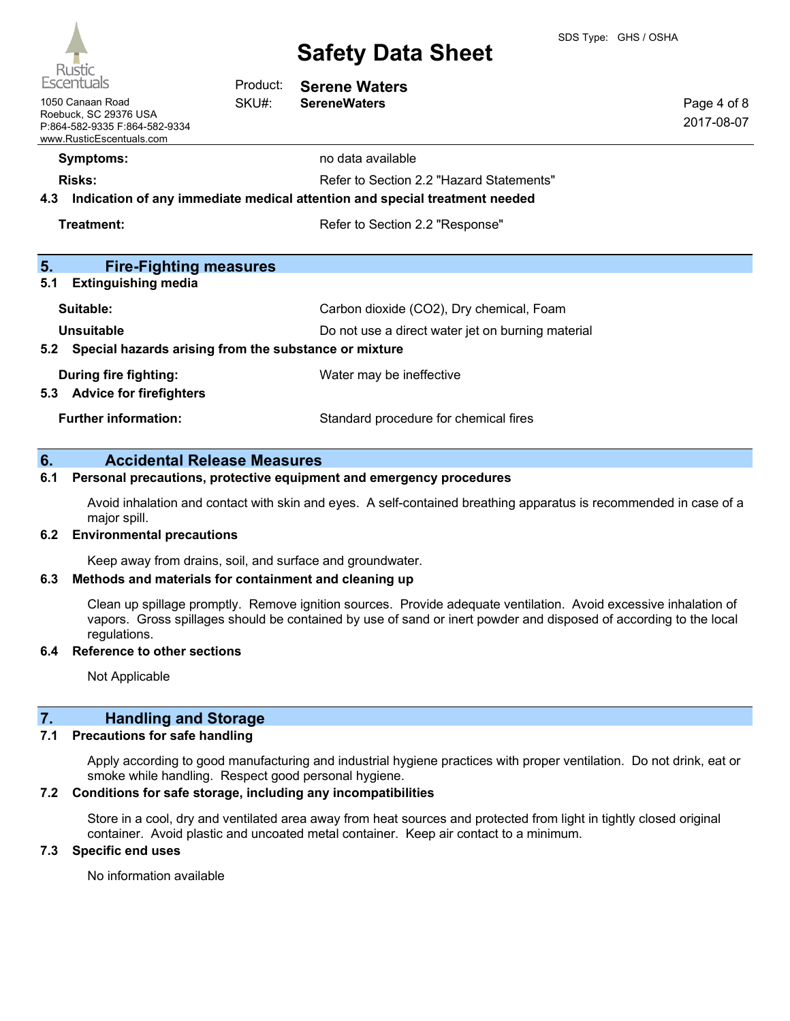

| 110JU<br>Escentuals                                                                                    | Product: | <b>Serene Waters</b>                                                                                                   |                           |
|--------------------------------------------------------------------------------------------------------|----------|------------------------------------------------------------------------------------------------------------------------|---------------------------|
| 1050 Canaan Road<br>Roebuck, SC 29376 USA<br>P:864-582-9335 F:864-582-9334<br>www.RusticEscentuals.com | SKU#:    | <b>SereneWaters</b>                                                                                                    | Page 4 of 8<br>2017-08-07 |
| <b>Symptoms:</b>                                                                                       |          | no data available                                                                                                      |                           |
| <b>Risks:</b><br>4.3                                                                                   |          | Refer to Section 2.2 "Hazard Statements"<br>Indication of any immediate medical attention and special treatment needed |                           |
| Treatment:                                                                                             |          | Refer to Section 2.2 "Response"                                                                                        |                           |
| 5.<br><b>Fire-Fighting measures</b>                                                                    |          |                                                                                                                        |                           |
| 5.1<br><b>Extinguishing media</b>                                                                      |          |                                                                                                                        |                           |
| Suitable:                                                                                              |          | Carbon dioxide (CO2), Dry chemical, Foam                                                                               |                           |
| <b>Unsuitable</b><br>Do not use a direct water jet on burning material                                 |          |                                                                                                                        |                           |
| 5.2 Special hazards arising from the substance or mixture                                              |          |                                                                                                                        |                           |
| During fire fighting:<br><b>Advice for firefighters</b><br>5.3                                         |          | Water may be ineffective                                                                                               |                           |
| <b>Further information:</b>                                                                            |          | Standard procedure for chemical fires                                                                                  |                           |

### **6. Accidental Release Measures**

## **6.1 Personal precautions, protective equipment and emergency procedures**

Avoid inhalation and contact with skin and eyes. A self-contained breathing apparatus is recommended in case of a major spill.

#### **6.2 Environmental precautions**

Keep away from drains, soil, and surface and groundwater.

#### **6.3 Methods and materials for containment and cleaning up**

Clean up spillage promptly. Remove ignition sources. Provide adequate ventilation. Avoid excessive inhalation of vapors. Gross spillages should be contained by use of sand or inert powder and disposed of according to the local regulations.

#### **6.4 Reference to other sections**

Not Applicable

## **7. Handling and Storage**

#### **7.1 Precautions for safe handling**

Apply according to good manufacturing and industrial hygiene practices with proper ventilation. Do not drink, eat or smoke while handling. Respect good personal hygiene.

## **7.2 Conditions for safe storage, including any incompatibilities**

Store in a cool, dry and ventilated area away from heat sources and protected from light in tightly closed original container. Avoid plastic and uncoated metal container. Keep air contact to a minimum.

### **7.3 Specific end uses**

No information available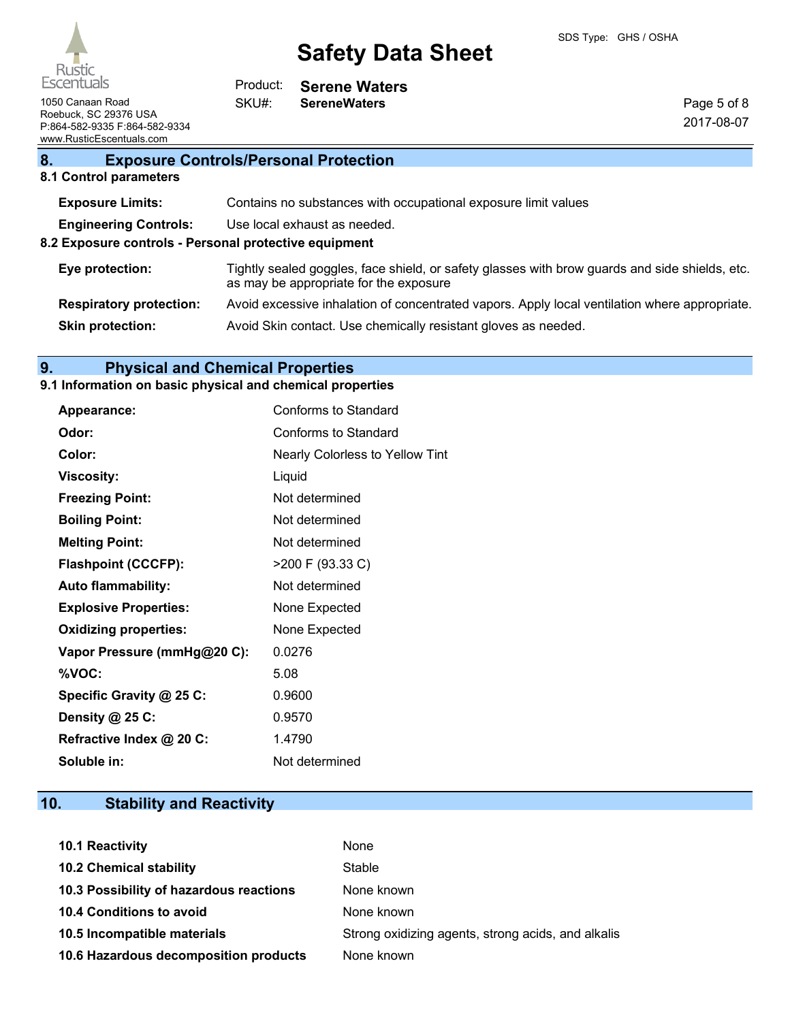

**Serene Waters**

Page 5 of 8 2017-08-07

1050 Canaan Road **SKU#:** SereneWaters Roebuck, SC 29376 USA P:864-582-9335 F:864-582-9334 www.RusticEscentuals.com

# **8. Exposure Controls/Personal Protection**

Product: SKU#:

## **8.1 Control parameters**

| <b>Exposure Limits:</b>                               | Contains no substances with occupational exposure limit values                                                                           |  |  |
|-------------------------------------------------------|------------------------------------------------------------------------------------------------------------------------------------------|--|--|
| <b>Engineering Controls:</b>                          | Use local exhaust as needed.                                                                                                             |  |  |
| 8.2 Exposure controls - Personal protective equipment |                                                                                                                                          |  |  |
| Eye protection:                                       | Tightly sealed goggles, face shield, or safety glasses with brow guards and side shields, etc.<br>as may be appropriate for the exposure |  |  |
| <b>Respiratory protection:</b>                        | Avoid excessive inhalation of concentrated vapors. Apply local ventilation where appropriate.                                            |  |  |
| <b>Skin protection:</b>                               | Avoid Skin contact. Use chemically resistant gloves as needed.                                                                           |  |  |
|                                                       |                                                                                                                                          |  |  |

# **9. Physical and Chemical Properties**

# **9.1 Information on basic physical and chemical properties**

| Appearance:                  | Conforms to Standard            |
|------------------------------|---------------------------------|
| Odor:                        | Conforms to Standard            |
| Color:                       | Nearly Colorless to Yellow Tint |
| <b>Viscosity:</b>            | Liquid                          |
| <b>Freezing Point:</b>       | Not determined                  |
| <b>Boiling Point:</b>        | Not determined                  |
| <b>Melting Point:</b>        | Not determined                  |
| <b>Flashpoint (CCCFP):</b>   | >200 F (93.33 C)                |
| <b>Auto flammability:</b>    | Not determined                  |
| <b>Explosive Properties:</b> | None Expected                   |
| <b>Oxidizing properties:</b> | None Expected                   |
| Vapor Pressure (mmHg@20 C):  | 0.0276                          |
| %VOC:                        | 5.08                            |
| Specific Gravity @ 25 C:     | 0.9600                          |
| Density @ 25 C:              | 0.9570                          |
| Refractive Index @ 20 C:     | 1.4790                          |
| Soluble in:                  | Not determined                  |

# **10. Stability and Reactivity**

| 10.1 Reactivity                         | None                                               |
|-----------------------------------------|----------------------------------------------------|
| <b>10.2 Chemical stability</b>          | Stable                                             |
| 10.3 Possibility of hazardous reactions | None known                                         |
| 10.4 Conditions to avoid                | None known                                         |
| 10.5 Incompatible materials             | Strong oxidizing agents, strong acids, and alkalis |
| 10.6 Hazardous decomposition products   | None known                                         |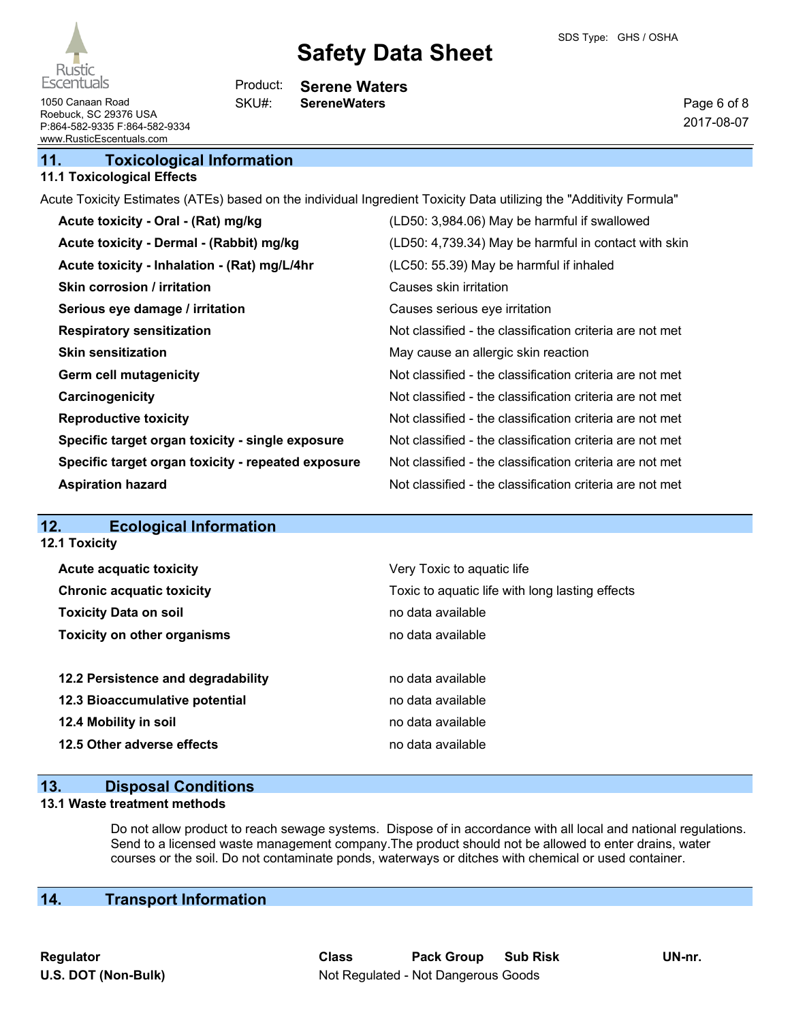

Page 6 of 8 2017-08-07

1050 Canaan Road **SKU#:** SereneWaters Roebuck, SC 29376 USA P:864-582-9335 F:864-582-9334 www.RusticEscentuals.com

## **11. Toxicological Information**

### **11.1 Toxicological Effects**

Acute Toxicity Estimates (ATEs) based on the individual Ingredient Toxicity Data utilizing the "Additivity Formula"

**Serene Waters**

Product: SKU#:

| Acute toxicity - Oral - (Rat) mg/kg                | (LD50: 3,984.06) May be harmful if swallowed             |
|----------------------------------------------------|----------------------------------------------------------|
| Acute toxicity - Dermal - (Rabbit) mg/kg           | (LD50: 4,739.34) May be harmful in contact with skin     |
| Acute toxicity - Inhalation - (Rat) mg/L/4hr       | (LC50: 55.39) May be harmful if inhaled                  |
| <b>Skin corrosion / irritation</b>                 | Causes skin irritation                                   |
| Serious eye damage / irritation                    | Causes serious eye irritation                            |
| <b>Respiratory sensitization</b>                   | Not classified - the classification criteria are not met |
| <b>Skin sensitization</b>                          | May cause an allergic skin reaction                      |
| <b>Germ cell mutagenicity</b>                      | Not classified - the classification criteria are not met |
| Carcinogenicity                                    | Not classified - the classification criteria are not met |
| <b>Reproductive toxicity</b>                       | Not classified - the classification criteria are not met |
| Specific target organ toxicity - single exposure   | Not classified - the classification criteria are not met |
| Specific target organ toxicity - repeated exposure | Not classified - the classification criteria are not met |
| <b>Aspiration hazard</b>                           | Not classified - the classification criteria are not met |

# **12. Ecological Information**

**12.1 Toxicity**

| <b>Acute acquatic toxicity</b>     | Very Toxic to aquatic life                      |
|------------------------------------|-------------------------------------------------|
| <b>Chronic acquatic toxicity</b>   | Toxic to aquatic life with long lasting effects |
| <b>Toxicity Data on soil</b>       | no data available                               |
| <b>Toxicity on other organisms</b> | no data available                               |
|                                    |                                                 |
| 12.2 Persistence and degradability | no data available                               |
| 12.3 Bioaccumulative potential     | no data available                               |
| 12.4 Mobility in soil              | no data available                               |
| 12.5 Other adverse effects         | no data available                               |
|                                    |                                                 |

## **13. Disposal Conditions**

#### **13.1 Waste treatment methods**

Do not allow product to reach sewage systems. Dispose of in accordance with all local and national regulations. Send to a licensed waste management company.The product should not be allowed to enter drains, water courses or the soil. Do not contaminate ponds, waterways or ditches with chemical or used container.

# **14. Transport Information**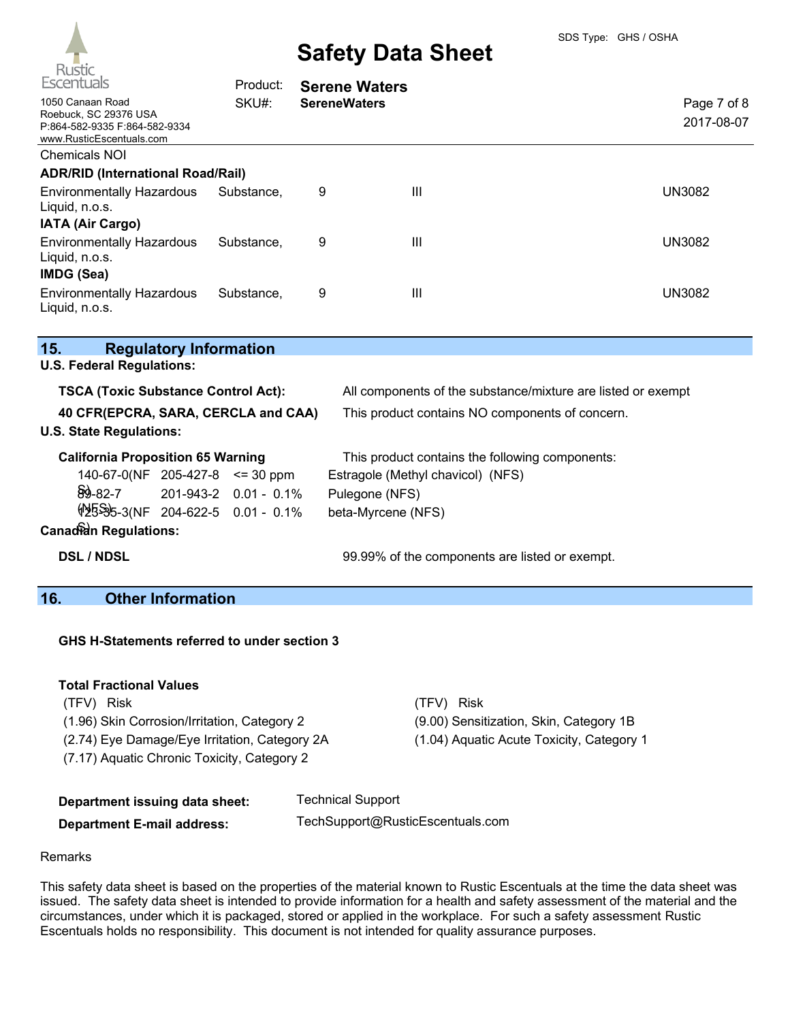| Escentuals                                                                                             | Product:   | <b>Serene Waters</b> |   |                           |
|--------------------------------------------------------------------------------------------------------|------------|----------------------|---|---------------------------|
| 1050 Canaan Road<br>Roebuck, SC 29376 USA<br>P:864-582-9335 F:864-582-9334<br>www.RusticEscentuals.com | SKU#:      | <b>SereneWaters</b>  |   | Page 7 of 8<br>2017-08-07 |
| Chemicals NOI                                                                                          |            |                      |   |                           |
| <b>ADR/RID (International Road/Rail)</b>                                                               |            |                      |   |                           |
| <b>Environmentally Hazardous</b><br>Liquid, n.o.s.<br><b>IATA (Air Cargo)</b>                          | Substance, | 9                    | Ш | <b>UN3082</b>             |
| <b>Environmentally Hazardous</b><br>Liquid, n.o.s.<br>IMDG (Sea)                                       | Substance. | 9                    | Ш | <b>UN3082</b>             |
| <b>Environmentally Hazardous</b><br>Liquid, n.o.s.                                                     | Substance, | 9                    | Ш | UN3082                    |

| 15.                                        | <b>Regulatory Information</b> |  |                                                              |
|--------------------------------------------|-------------------------------|--|--------------------------------------------------------------|
| <b>U.S. Federal Regulations:</b>           |                               |  |                                                              |
| <b>TSCA (Toxic Substance Control Act):</b> |                               |  | All components of the substance/mixture are listed or exempt |
| 40 CFR(EPCRA, SARA, CERCLA and CAA)        |                               |  | This product contains NO components of concern.              |
| <b>U.S. State Regulations:</b>             |                               |  |                                                              |
| <b>California Proposition 65 Warning</b>   |                               |  | This product contains the following components:              |
| $140-67-0(NF)$ 205-427-8 <= 30 ppm         |                               |  | Estragole (Methyl chavicol) (NFS)                            |
| $\frac{1}{29}$ -82-7 201-943-2 0.01 - 0.1% |                               |  | Pulegone (NFS)                                               |
| <b>\$2595-3(NF 204-622-5 0.01 - 0.1%</b>   |                               |  | beta-Myrcene (NFS)                                           |
| <b>Canadian Regulations:</b>               |                               |  |                                                              |

**DSL / NDSL** 99.99% of the components are listed or exempt.

# **16. Other Information**

**GHS H-Statements referred to under section 3**

### **Total Fractional Values**

(TFV) Risk (TFV) Risk (1.96) Skin Corrosion/Irritation, Category 2 (9.00) Sensitization, Skin, Category 1B (2.74) Eye Damage/Eye Irritation, Category 2A (1.04) Aquatic Acute Toxicity, Category 1 (7.17) Aquatic Chronic Toxicity, Category 2

| Department issuing data sheet:    | <b>Technical Support</b>         |
|-----------------------------------|----------------------------------|
| <b>Department E-mail address:</b> | TechSupport@RusticEscentuals.com |

#### Remarks

This safety data sheet is based on the properties of the material known to Rustic Escentuals at the time the data sheet was issued. The safety data sheet is intended to provide information for a health and safety assessment of the material and the circumstances, under which it is packaged, stored or applied in the workplace. For such a safety assessment Rustic Escentuals holds no responsibility. This document is not intended for quality assurance purposes.